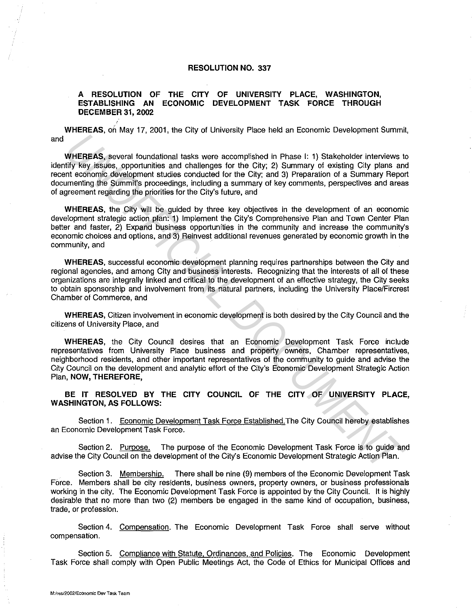## **RESOLUTION NO. 337**

## **A RESOLUTION OF THE CITY OF UNIVERSITY PLACE, WASHINGTON, ESTABLISHING AN ECONOMIC DEVELOPMENT TASK FORCE THROUGH DECEMBER** 31, **2002**

WHEREAS, on May 17, 2001, the City of University Place held an Economic Development Summit, and

**WHEREAS,** several foundational tasks were accomplished in Phase I: 1) Stakeholder interviews to identify key issues, opportunities and challenges for the City; 2) Summary of existing City plans and recent economic development studies conducted for the City; and 3) Preparation of a Summary Report documenting the Summit's proceedings, including a summary of key comments, perspectives and areas of agreement regarding the priorities for the City's future, and **WHEREAS,** around foundational tasks were accomplished in Phase 1: 1) Stakeholder interviews thiv Rey assues, opportunities and challenges for the City; 2) Summary of existing City plans and the endomic development studies

**WHEREAS,** the City will be guided by three key objectives in the development of an economic development strategic action plan: 1) Implement the City's Comprehensive Plan and Town Center Plan better and faster, 2) Expand business opportunities in the community and increase the community's economic choices and options, and 3) Reinvest additional revenues generated by economic growth in the community, and

**WHEREAS,** successful economic development planning requires partnerships between the City and regional agencies, and among City and business interests. Recognizing that the interests of all of these organizations are integrally linked and critical to the development of an effective strategy, the City seeks to obtain sponsorship and involvement from its natural partners, including the University Place/Fircrest Chamber of Commerce, and

**WHEREAS,** Citizen involvement in economic development is both desired by the City Council and the citizens of University Place, and

**WHEREAS,** the City Council desires that an Economic Development Task Force include representatives from University Place business and property owners, Chamber representatives, neighborhood residents, and other important representatives of the community to guide and advise the City Council on the development and analytic effort of the City's Economic Development Strategic Action Plan, **NOW, THEREFORE,** 

**BE IT RESOLVED BY THE CITY COUNCIL OF THE CITY OF UNIVERSITY PLACE, WASHINGTON, AS FOLLOWS:** 

Section 1. Economic Development Task Force Established.The City Council hereby establishes an Economic Development Task Force.

Section 2. Purpose. The purpose of the Economic Development Task Force is to guide and advise the City Council on the development of the City's Economic Development Strategic Action Plan.

Section 3. Membership. There shall be nine (9) members of the Economic Development Task Force. Members shall be city residents, business owners, property owners, or business professionals working in the city. The Economic Development Task Force is appointed by the City Council. It is highly desirable that no more than two (2) members be engaged in the same kind of occupation, business, trade, or profession.

Section 4. Compensation. The Economic Development Task Force shall serve without compensation.

Section 5. Compliance with Statute. Ordinances. and Policies. The Economic Development Task Force shall comply with Open Public Meetings Act, the Code of Ethics for Municipal Offices and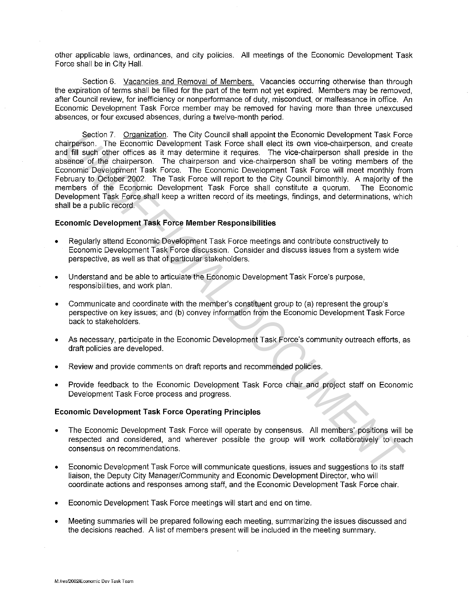other applicable laws, ordinances, and city policies. All meetings of the Economic Development Task Force shall be in City Hall.

Section 6. Vacancies and Removal of Members. Vacancies occurring otherwise than through the expiration of terms shall be filled for the part of the term not yet expired. Members may be removed, after Council review, for inefficiency or nonperformance of duty, misconduct, or malfeasance in office. An Economic Development Task Force member may be removed for having more than three unexcused absences, or four excused absences, during a twelve-month period.

Section 7. Organization. The City Council shall appoint the Economic Development Task Force chairperson. The Economic Development Task Force shall elect its own vice-chairperson, and create and fill such other offices as it may determine it requires. The vice-chairperson shall preside in the absence of the chairperson. The chairperson and vice-chairperson shall be voting members of the Economic Development Task Force. The Economic Development Task Force will meet monthly from February to October 2002. The Task Force will report to the City Council bimonthly. A majority of the members of the Economic Development Task Force shall constitute a quorum. The Economic Development Task Force shall keep a written record of its meetings, findings, and determinations, which shall be a public record. Section 7. <u>Origanization</u>. The City Council stall appoint the Economic Development Task Force shall elect its own vice-chaipeson, and creasure a finit such that ill such the full such that in the full such that in the ful

## **Economic Development Task Force Member Responsibilities**

- Regularly attend Economic Development Task Force meetings and contribute constructively to Economic Development Task Force discussion. Consider and discuss issues from a system wide perspective, as well as that of particular stakeholders.
- Understand and be able to articulate the Economic Development Task Force's purpose, responsibilities, and work plan.
- Communicate and coordinate with the member's constituent group to (a) represent the group's perspective on key issues; and (b) convey information from the Economic Development Task Force back to stakeholders.
- As necessary, participate in the Economic Development Task Force's community outreach efforts, as draft policies are developed.
- Review and provide comments on draft reports and recommended policies.
- Provide feedback to the Economic Development Task Force chair and project staff on Economic Development Task Force process and progress.

## **Economic Development Task Force Operating Principles**

- The Economic Development Task Force will operate by consensus. All members' positions will be respected and considered, and wherever possible the group will work collaboratively to reach consensus on recommendations.
- Economic Development Task Force will communicate questions, issues and suggestions to its staff liaison, the Deputy City Manager/Community and Economic Development Director, who will coordinate actions and responses among staff, and the Economic Development Task Force chair.
- Economic Development Task Force meetings will start and end on time.
- Meeting summaries will be prepared following each meeting, summarizing the issues discussed and the decisions reached. A list of members present will be included in the meeting summary.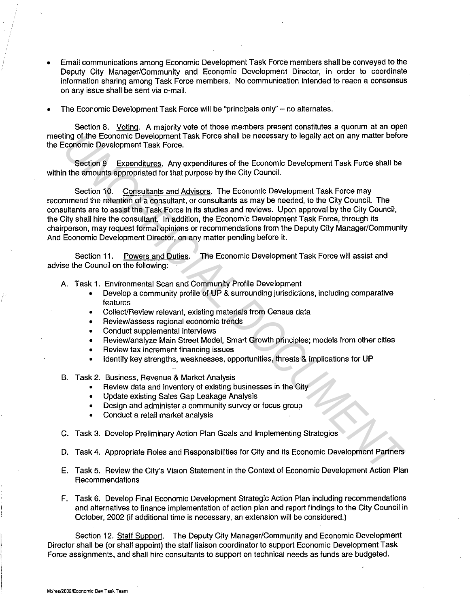- Email communications among Economic Development Task Force members shall be conveyed to the Deputy City Manager/Community and Economic Development Director, in order to coordinate information sharing among Task Force members. No communication intended to reach a consensus on any issue shall be sent via e-mail.
- The Economic Development Task Force will be "principals only" no alternates.

Section 8. Voting. A majority vote of those members present constitutes a quorum at an open meeting of the Economic Development Task Force shall be necessary to legally act on any matter before the Economic Development Task Force.

Section 9 Expenditures. Any expenditures of the Economic Development Task Force shall be within the amounts appropriated for that purpose by the City Council.

Section 10. Consultants and Advisors. The Economic Development Task Force may recommend the retention of a consultant, or consultants as may be needed, to the City Council. The consultants are to assist the Task Force in its studies and reviews. Upon approval by the City Council, the City shall hire the consultant. In addition, the Economic Development Task Force, through its chairperson, may request formal opinions or recommendations from the Deputy City Manager/Community And Economic Development Director, on any matter pending before it. **Experimention Chromometrical Schement Task Force shall be necessary to legally act on any matter before the Economic Development Task Force shall be the mounts appropriated for that purpose by the City Council.<br>
Section 9** 

Section 11. Powers and Duties. The Economic Development Task Force will assist and advise the Council on the following:

- A. Task 1. Environmental Scan and Community Profile Development
	- Develop a community profile of UP & surrounding jurisdictions, including comparative features
	- Collect/Review relevant, existing materials from Census data
	- Review/assess regional economic trends
	- Conduct supplemental interviews
	- Review/analyze Main Street Model, Smart Growth principles; models from other cities
	- Review tax increment financing issues
	- Identify key strengths, weaknesses, opportunities, threats & implications for UP
- B. Task 2. Business, Revenue & Market Analysis
	- Review data and inventory of existing businesses in the City
	- Update existing Sales Gap Leakage Analysis
	- Design and administer a community survey or focus group
	- Conduct a retail market analysis
- C. Task 3. Develop Preliminary Action Plan Goals and Implementing Strategies
- D. Task 4. Appropriate Roles and Responsibilities for City and its Economic Development Partners
- E. Task 5. Review the City's Vision Statement in the Context of Economic Development Action Plan Recommendations
- F. Task 6. Develop Final Economic Development Strategic Action Plan including recommendations and alternatives to finance implementation of action plan and report findings to the City Council in October, 2002 (if additional time is necessary, an extension will be considered.)

Section 12. Staff Support. The Deputy City Manager/Community and Economic Development Director shall be (or shall appoint) the staff liaison coordinator to support Economic Development Task Force assignments, and shall hire consultants to support on technical needs as funds are budgeted.